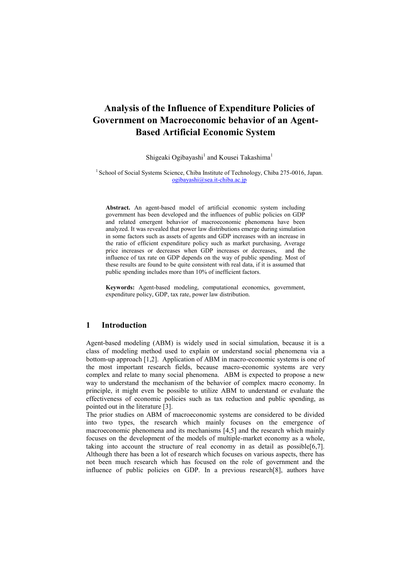# **Analysis of the Influence of Expenditure Policies of Government on Macroeconomic behavior of an Agent-Based Artificial Economic System**

Shigeaki Ogibayashi<sup>1</sup> and Kousei Takashima<sup>1</sup>

<sup>1</sup> School of Social Systems Science, Chiba Institute of Technology, Chiba 275-0016, Japan. [ogibayashi@sea.it-chiba.ac.jp](mailto:ogibayashi@sea.it-chiba.ac.jp)

**Abstract.** An agent-based model of artificial economic system including government has been developed and the influences of public policies on GDP and related emergent behavior of macroeconomic phenomena have been analyzed. It was revealed that power law distributions emerge during simulation in some factors such as assets of agents and GDP increases with an increase in the ratio of efficient expenditure policy such as market purchasing, Average price increases or decreases when GDP increases or decreases, and the influence of tax rate on GDP depends on the way of public spending. Most of these results are found to be quite consistent with real data, if it is assumed that public spending includes more than 10% of inefficient factors.

**Keywords:** Agent-based modeling, computational economics, government, expenditure policy, GDP, tax rate, power law distribution.

# **1 Introduction**

Agent-based modeling (ABM) is widely used in social simulation, because it is a class of modeling method used to explain or understand social phenomena via a bottom-up approach [1,2]. Application of ABM in macro-economic systems is one of the most important research fields, because macro-economic systems are very complex and relate to many social phenomena. ABM is expected to propose a new way to understand the mechanism of the behavior of complex macro economy. In principle, it might even be possible to utilize ABM to understand or evaluate the effectiveness of economic policies such as tax reduction and public spending, as pointed out in the literature [3].

The prior studies on ABM of macroeconomic systems are considered to be divided into two types, the research which mainly focuses on the emergence of macroeconomic phenomena and its mechanisms [4,5] and the research which mainly focuses on the development of the models of multiple-market economy as a whole, taking into account the structure of real economy in as detail as possible[6,7]. Although there has been a lot of research which focuses on various aspects, there has not been much research which has focused on the role of government and the influence of public policies on GDP. In a previous research[8], authors have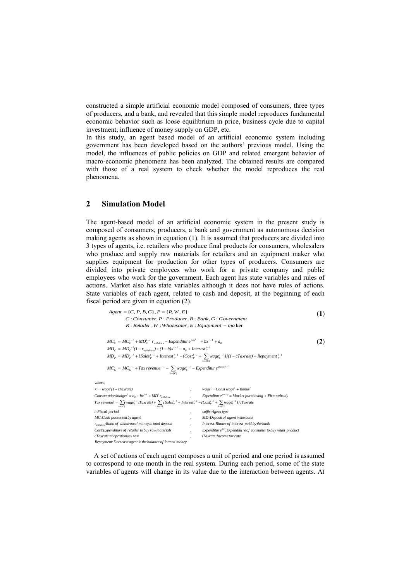constructed a simple artificial economic model composed of consumers, three types of producers, and a bank, and revealed that this simple model reproduces fundamental economic behavior such as loose equilibrium in price, business cycle due to capital investment, influence of money supply on GDP, etc.

In this study, an agent based model of an artificial economic system including government has been developed based on the authors' previous model. Using the model, the influences of public policies on GDP and related emergent behavior of macro-economic phenomena has been analyzed. The obtained results are compared with those of a real system to check whether the model reproduces the real phenomena.

# **2 Simulation Model**

The agent-based model of an artificial economic system in the present study is composed of consumers, producers, a bank and government as autonomous decision making agents as shown in equation (1). It is assumed that producers are divided into 3 types of agents, i.e. retailers who produce final products for consumers, wholesalers who produce and supply raw materials for retailers and an equipment maker who supplies equipment for production for other types of producers. Consumers are divided into private employees who work for a private company and public employees who work for the government. Each agent has state variables and rules of actions. Market also has state variables although it does not have rules of actions. State variables of each agent, related to cash and deposit, at the beginning of each fiscal period are given in equation (2).

: , : , : ker : , : , : , : { , , , }, { , , } *R Retailer W Wholesaler E Equipment ma C Consumer P Producer B Bank G Government Agent CP BG P R W E* (**1**) 1 1 1 *i poricy k {C} i 1 k i i G i G i 1 P k {C} i 1 k i 1 P i 1 P i 1 P i 1 P i P i 1 0 C i 1 withdraw i 1 C i C 0 buy i 1 withdraw i 1 C i 1 C i C MC MC Tax revenue wage Expenditur e MD MD {Sales Interest (Cost wage )}(1 cTaxrate) Repayment MD MD (1 r ) (1 b)x a Interest MC MC MD r Expenditur e bx a i 1 Tax revenue (wage iTaxrate) {Sales Interest (Cost wage )}cTaxrate Consumptionbudget a bx MD r , Expenditur e Market purchasing Firm subsidy x wage (1 iTaxrate) , wage Const wage Bonus where, k {P} k {C} i 1 k i 1 P i 1 P i 1 P k {C} i 1 k i poricy withdraw i 1 i 0 i i i i i* (**2**)

| <i>i: Fiscal period</i> |                                                            |  | suffix:Agent type                                                          |
|-------------------------|------------------------------------------------------------|--|----------------------------------------------------------------------------|
|                         | MC:Cash possessed by agent                                 |  | MD: Deposit of agent in the bank                                           |
|                         | $r_{without}$ $Ratio$ of withdrawal money to total deposit |  | Interest: Blance of interest paid by the bank                              |
|                         | Cost: Expenditure of retailer to buy rawmaterials          |  | Expenditure <sup>buy</sup> : Expenditure of consumer to buy retail product |
|                         | cTaxrate: corpration tax rate                              |  | iTaxrate: Income tax rate.                                                 |
|                         | Repayment: Decrease agent in the balance of loaned money   |  |                                                                            |

A set of actions of each agent composes a unit of period and one period is assumed to correspond to one month in the real system. During each period, some of the state variables of agents will change in its value due to the interaction between agents. At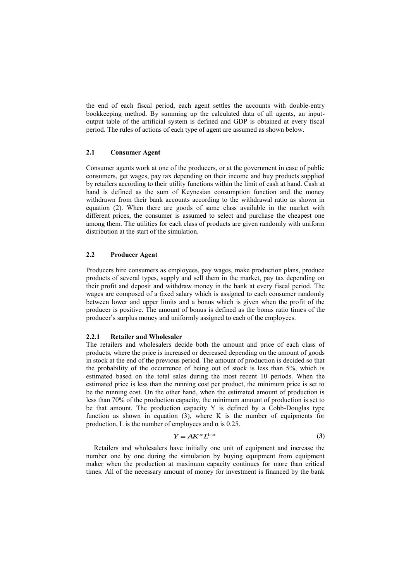the end of each fiscal period, each agent settles the accounts with double-entry bookkeeping method. By summing up the calculated data of all agents, an inputoutput table of the artificial system is defined and GDP is obtained at every fiscal period. The rules of actions of each type of agent are assumed as shown below.

### **2.1 Consumer Agent**

Consumer agents work at one of the producers, or at the government in case of public consumers, get wages, pay tax depending on their income and buy products supplied by retailers according to their utility functions within the limit of cash at hand. Cash at hand is defined as the sum of Keynesian consumption function and the money withdrawn from their bank accounts according to the withdrawal ratio as shown in equation (2). When there are goods of same class available in the market with different prices, the consumer is assumed to select and purchase the cheapest one among them. The utilities for each class of products are given randomly with uniform distribution at the start of the simulation.

# **2.2 Producer Agent**

Producers hire consumers as employees, pay wages, make production plans, produce products of several types, supply and sell them in the market, pay tax depending on their profit and deposit and withdraw money in the bank at every fiscal period. The wages are composed of a fixed salary which is assigned to each consumer randomly between lower and upper limits and a bonus which is given when the profit of the producer is positive. The amount of bonus is defined as the bonus ratio times of the producer's surplus money and uniformly assigned to each of the employees.

### **2.2.1 Retailer and Wholesaler**

The retailers and wholesalers decide both the amount and price of each class of products, where the price is increased or decreased depending on the amount of goods in stock at the end of the previous period. The amount of production is decided so that the probability of the occurrence of being out of stock is less than 5%, which is estimated based on the total sales during the most recent 10 periods. When the estimated price is less than the running cost per product, the minimum price is set to be the running cost. On the other hand, when the estimated amount of production is less than 70% of the production capacity, the minimum amount of production is set to be that amount. The production capacity Y is defined by a Cobb-Douglas type function as shown in equation (3), where K is the number of equipments for production, L is the number of employees and  $\alpha$  is 0.25.

$$
Y = AK^{\alpha}L^{1-\alpha} \tag{3}
$$

Retailers and wholesalers have initially one unit of equipment and increase the number one by one during the simulation by buying equipment from equipment maker when the production at maximum capacity continues for more than critical times. All of the necessary amount of money for investment is financed by the bank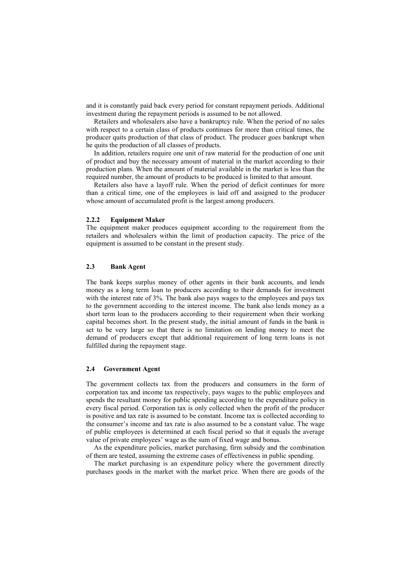and it is constantly paid back every period for constant repayment periods. Additional investment during the repayment periods is assumed to be not allowed.

Retailers and wholesalers also have a bankruptcy rule. When the period of no sales with respect to a certain class of products continues for more than critical times, the producer quits production of that class of product. The producer goes bankrupt when he quits the production of all classes of products.

In addition, retailers require one unit of raw material for the production of one unit of product and buy the necessary amount of material in the market according to their production plans. When the amount of material available in the market is less than the required number, the amount of products to be produced is limited to that amount.

Retailers also have a layoff rule. When the period of deficit continues for more than a critical time, one of the employees is laid off and assigned to the producer whose amount of accumulated profit is the largest among producers.

#### **2.2.2 Equipment Maker**

The equipment maker produces equipment according to the requirement from the retailers and wholesalers within the limit of production capacity. The price of the equipment is assumed to be constant in the present study.

## **2.3 Bank Agent**

The bank keeps surplus money of other agents in their bank accounts, and lends money as a long term loan to producers according to their demands for investment with the interest rate of 3%. The bank also pays wages to the employees and pays tax to the government according to the interest income. The bank also lends money as a short term loan to the producers according to their requirement when their working capital becomes short. In the present study, the initial amount of funds in the bank is set to be very large so that there is no limitation on lending money to meet the demand of producers except that additional requirement of long term loans is not fulfilled during the repayment stage.

## **2.4 Government Agent**

The government collects tax from the producers and consumers in the form of corporation tax and income tax respectively, pays wages to the public employees and spends the resultant money for public spending according to the expenditure policy in every fiscal period. Corporation tax is only collected when the profit of the producer is positive and tax rate is assumed to be constant. Income tax is collected according to the consumer's income and tax rate is also assumed to be a constant value. The wage of public employees is determined at each fiscal period so that it equals the average value of private employees' wage as the sum of fixed wage and bonus.

As the expenditure policies, market purchasing, firm subsidy and the combination of them are tested, assuming the extreme cases of effectiveness in public spending.

The market purchasing is an expenditure policy where the government directly purchases goods in the market with the market price. When there are goods of the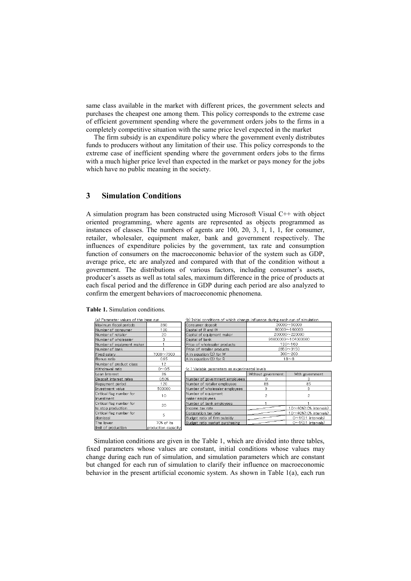same class available in the market with different prices, the government selects and purchases the cheapest one among them. This policy corresponds to the extreme case of efficient government spending where the government orders jobs to the firms in a completely competitive situation with the same price level expected in the market

The firm subsidy is an expenditure policy where the government evenly distributes funds to producers without any limitation of their use. This policy corresponds to the extreme case of inefficient spending where the government orders jobs to the firms with a much higher price level than expected in the market or pays money for the jobs which have no public meaning in the society.

# **3 Simulation Conditions**

A simulation program has been constructed using Microsoft Visual C++ with object oriented programming, where agents are represented as objects programmed as instances of classes. The numbers of agents are 100, 20, 3, 1, 1, 1, for consumer, retailer, wholesaler, equipment maker, bank and government respectively. The influences of expenditure policies by the government, tax rate and consumption function of consumers on the macroeconomic behavior of the system such as GDP, average price, etc are analyzed and compared with that of the condition without a government. The distributions of various factors, including consumer's assets, producer's assets as well as total sales, maximum difference in the price of products at each fiscal period and the difference in GDP during each period are also analyzed to confirm the emergent behaviors of macroeconomic phenomena.

| (a) Parameter values of the base run |                     | (b) Initial conditions of which change influence during each run of simulation |                                  |                            |  |  |
|--------------------------------------|---------------------|--------------------------------------------------------------------------------|----------------------------------|----------------------------|--|--|
| 360<br>Maximum fiscal periods        |                     | 30000~50000<br>Consumer deposit                                                |                                  |                            |  |  |
| Number of consumer                   | 100                 | Capital of R and W                                                             | 80000~160000                     |                            |  |  |
| Number of retailer                   | 20                  | Capital of equipment maker                                                     | 200000~220000                    |                            |  |  |
| Number of wholesaler                 | З                   | 96000000~104000000<br>Capital of bank                                          |                                  |                            |  |  |
| Number of equipment maker            |                     | $130 - 160$<br>Price of wholesaler products                                    |                                  |                            |  |  |
| Number of bank                       |                     | 2850~3150<br>Price of retailer products                                        |                                  |                            |  |  |
| Fixed salary                         | 7000~7500           | $300 - 200$<br>A in equation (3) for W                                         |                                  |                            |  |  |
| Bonus ratio                          | 0.95                | A in equation (3) for R<br>$18 - 8$                                            |                                  |                            |  |  |
| Number of product class              | 12                  |                                                                                |                                  |                            |  |  |
| Withdrawal ratio                     | $0 - 0.5$           | (c ) Variable parameters as experimental levels                                |                                  |                            |  |  |
| Loan Interest                        | 3%                  |                                                                                | Without government               | With government            |  |  |
| Deposit interest rates               | 0.50%               | Number of government employees                                                 | 0                                |                            |  |  |
| Repayment period                     | 120                 | Number of retailer employees                                                   | 88                               | 85                         |  |  |
| Investment value                     | 500000              | Number of wholesaler employees                                                 | 9                                | 9                          |  |  |
| Critical flag number for<br>10       |                     | Number of equipment                                                            | $\overline{c}$<br>$\overline{c}$ |                            |  |  |
| investment                           |                     | maker employees                                                                |                                  |                            |  |  |
| Critical flag number for             | 20                  | Number of bank employees                                                       |                                  |                            |  |  |
| to stop production                   |                     | Income tax rate                                                                |                                  | 10~40%(10% intervals)      |  |  |
| Critical flag number for             | 5                   | Corporation tax rate                                                           |                                  | 10~40%(10% intervals)      |  |  |
| dismissal                            |                     | Budget ratio of firm subsidy                                                   |                                  | $0 \sim 1$ (0.1 intervals) |  |  |
| The lower                            | 70% of its          | Budget ratio market purchasing                                                 |                                  | $0 \sim 1(0.1$ intervals)  |  |  |
| limit of production                  | production capacity |                                                                                |                                  |                            |  |  |

**Table 1.** Simulation conditions.

Simulation conditions are given in the Table 1, which are divided into three tables, fixed parameters whose values are constant, initial conditions whose values may change during each run of simulation, and simulation parameters which are constant but changed for each run of simulation to clarify their influence on macroeconomic behavior in the present artificial economic system. As shown in Table 1(a), each run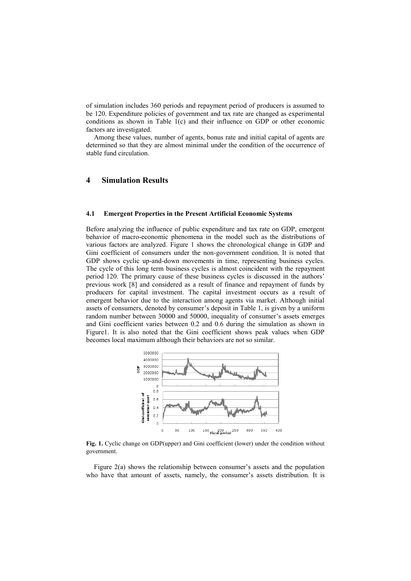of simulation includes 360 periods and repayment period of producers is assumed to be 120. Expenditure policies of government and tax rate are changed as experimental conditions as shown in Table 1(c) and their influence on GDP or other economic factors are investigated.

Among these values, number of agents, bonus rate and initial capital of agents are determined so that they are almost minimal under the condition of the occurrence of stable fund circulation.

# **4 Simulation Results**

#### **4.1 Emergent Properties in the Present Artificial Economic Systems**

Before analyzing the influence of public expenditure and tax rate on GDP, emergent behavior of macro-economic phenomena in the model such as the distributions of various factors are analyzed. Figure 1 shows the chronological change in GDP and Gini coefficient of consumers under the non-government condition. It is noted that GDP shows cyclic up-and-down movements in time, representing business cycles. The cycle of this long term business cycles is almost coincident with the repayment period 120. The primary cause of these business cycles is discussed in the authors' previous work [8] and considered as a result of finance and repayment of funds by producers for capital investment. The capital investment occurs as a result of emergent behavior due to the interaction among agents via market. Although initial assets of consumers, denoted by consumer's deposit in Table 1, is given by a uniform random number between 30000 and 50000, inequality of consumer's assets emerges and Gini coefficient varies between 0.2 and 0.6 during the simulation as shown in Figure1. It is also noted that the Gini coefficient shows peak values when GDP becomes local maximum although their behaviors are not so similar.



**Fig. 1.** Cyclic change on GDP(upper) and Gini coefficient (lower) under the condition without government.

Figure 2(a) shows the relationship between consumer's assets and the population who have that amount of assets, namely, the consumer's assets distribution. It is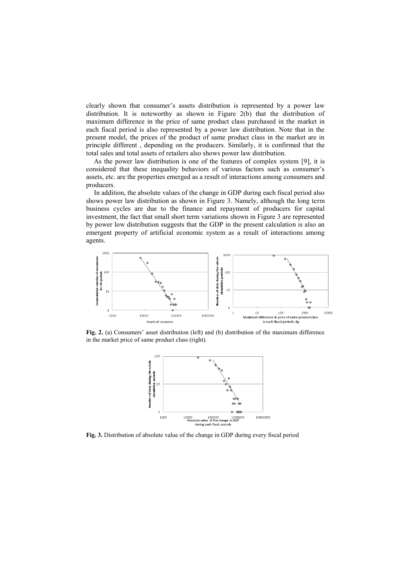clearly shown that consumer's assets distribution is represented by a power law distribution. It is noteworthy as shown in Figure 2(b) that the distribution of maximum difference in the price of same product class purchased in the market in each fiscal period is also represented by a power law distribution. Note that in the present model, the prices of the product of same product class in the market are in principle different , depending on the producers. Similarly, it is confirmed that the total sales and total assets of retailers also shows power law distribution.

As the power law distribution is one of the features of complex system [9], it is considered that these inequality behaviors of various factors such as consumer's assets, etc. are the properties emerged as a result of interactions among consumers and producers.

In addition, the absolute values of the change in GDP during each fiscal period also shows power law distribution as shown in Figure 3. Namely, although the long term business cycles are due to the finance and repayment of producers for capital investment, the fact that small short term variations shown in Figure 3 are represented by power low distribution suggests that the GDP in the present calculation is also an emergent property of artificial economic system as a result of interactions among agents.



**Fig. 2.** (a) Consumers' asset distribution (left) and (b) distribution of the maximum difference in the market price of same product class (right).



**Fig. 3.** Distribution of absolute value of the change in GDP during every fiscal period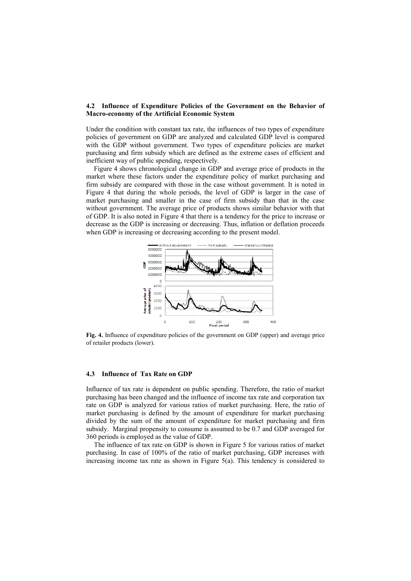### **4.2 Influence of Expenditure Policies of the Government on the Behavior of Macro-economy of the Artificial Economic System**

Under the condition with constant tax rate, the influences of two types of expenditure policies of government on GDP are analyzed and calculated GDP level is compared with the GDP without government. Two types of expenditure policies are market purchasing and firm subsidy which are defined as the extreme cases of efficient and inefficient way of public spending, respectively.

Figure 4 shows chronological change in GDP and average price of products in the market where these factors under the expenditure policy of market purchasing and firm subsidy are compared with those in the case without government. It is noted in Figure 4 that during the whole periods, the level of GDP is larger in the case of market purchasing and smaller in the case of firm subsidy than that in the case without government. The average price of products shows similar behavior with that of GDP. It is also noted in Figure 4 that there is a tendency for the price to increase or decrease as the GDP is increasing or decreasing. Thus, inflation or deflation proceeds when GDP is increasing or decreasing according to the present model.



**Fig. 4.** Influence of expenditure policies of the government on GDP (upper) and average price of retailer products (lower).

### **4.3 Influence of Tax Rate on GDP**

Influence of tax rate is dependent on public spending. Therefore, the ratio of market purchasing has been changed and the influence of income tax rate and corporation tax rate on GDP is analyzed for various ratios of market purchasing. Here, the ratio of market purchasing is defined by the amount of expenditure for market purchasing divided by the sum of the amount of expenditure for market purchasing and firm subsidy. Marginal propensity to consume is assumed to be 0.7 and GDP averaged for 360 periods is employed as the value of GDP.

The influence of tax rate on GDP is shown in Figure 5 for various ratios of market purchasing. In case of 100% of the ratio of market purchasing, GDP increases with increasing income tax rate as shown in Figure 5(a). This tendency is considered to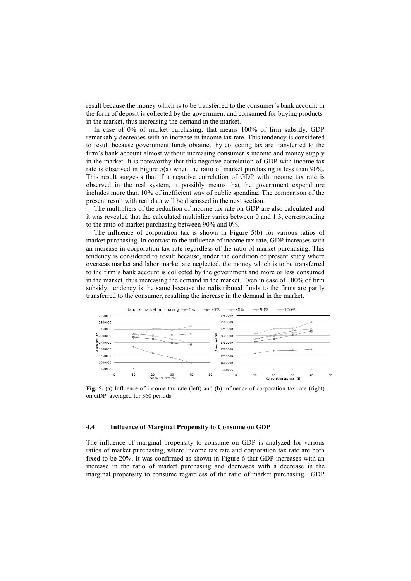result because the money which is to be transferred to the consumer's bank account in the form of deposit is collected by the government and consumed for buying products in the market, thus increasing the demand in the market.

In case of 0% of market purchasing, that means 100% of firm subsidy, GDP remarkably decreases with an increase in income tax rate. This tendency is considered to result because government funds obtained by collecting tax are transferred to the firm's bank account almost without increasing consumer's income and money supply in the market. It is noteworthy that this negative correlation of GDP with income tax rate is observed in Figure 5(a) when the ratio of market purchasing is less than 90%. This result suggests that if a negative correlation of GDP with income tax rate is observed in the real system, it possibly means that the government expenditure includes more than 10% of inefficient way of public spending. The comparison of the present result with real data will be discussed in the next section.

The multipliers of the reduction of income tax rate on GDP are also calculated and it was revealed that the calculated multiplier varies between 0 and 1.3, corresponding to the ratio of market purchasing between 90% and 0%.

The influence of corporation tax is shown in Figure 5(b) for various ratios of market purchasing. In contrast to the influence of income tax rate, GDP increases with an increase in corporation tax rate regardless of the ratio of market purchasing. This tendency is considered to result because, under the condition of present study where overseas market and labor market are neglected, the money which is to be transferred to the firm's bank account is collected by the government and more or less consumed in the market, thus increasing the demand in the market. Even in case of 100% of firm subsidy, tendency is the same because the redistributed funds to the firms are partly transferred to the consumer, resulting the increase in the demand in the market.



**Fig. 5.** (a) Influence of income tax rate (left) and (b) influence of corporation tax rate (right) on GDP averaged for 360 periods

### **4.4 Influence of Marginal Propensity to Consume on GDP**

The influence of marginal propensity to consume on GDP is analyzed for various ratios of market purchasing, where income tax rate and corporation tax rate are both fixed to be 20%. It was confirmed as shown in Figure 6 that GDP increases with an increase in the ratio of market purchasing and decreases with a decrease in the marginal propensity to consume regardless of the ratio of market purchasing. GDP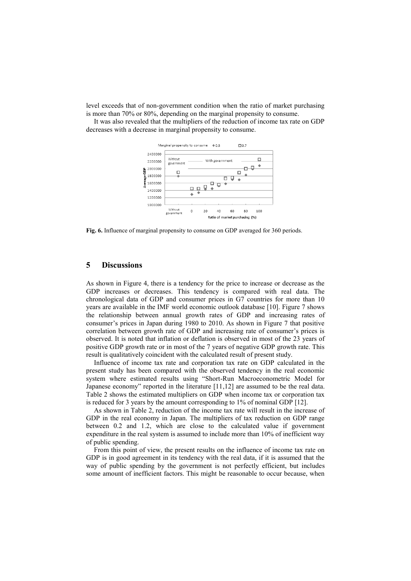level exceeds that of non-government condition when the ratio of market purchasing is more than 70% or 80%, depending on the marginal propensity to consume.

It was also revealed that the multipliers of the reduction of income tax rate on GDP decreases with a decrease in marginal propensity to consume.



**Fig. 6.** Influence of marginal propensity to consume on GDP averaged for 360 periods.

### **5 Discussions**

As shown in Figure 4, there is a tendency for the price to increase or decrease as the GDP increases or decreases. This tendency is compared with real data. The chronological data of GDP and consumer prices in G7 countries for more than 10 years are available in the IMF world economic outlook database [10]. Figure 7 shows the relationship between annual growth rates of GDP and increasing rates of consumer's prices in Japan during 1980 to 2010. As shown in Figure 7 that positive correlation between growth rate of GDP and increasing rate of consumer's prices is observed. It is noted that inflation or deflation is observed in most of the 23 years of positive GDP growth rate or in most of the 7 years of negative GDP growth rate. This result is qualitatively coincident with the calculated result of present study.

Influence of income tax rate and corporation tax rate on GDP calculated in the present study has been compared with the observed tendency in the real economic system where estimated results using "Short-Run Macroeconometric Model for Japanese economy" reported in the literature [11,12] are assumed to be the real data. Table 2 shows the estimated multipliers on GDP when income tax or corporation tax is reduced for 3 years by the amount corresponding to 1% of nominal GDP [12].

As shown in Table 2, reduction of the income tax rate will result in the increase of GDP in the real economy in Japan. The multipliers of tax reduction on GDP range between 0.2 and 1.2, which are close to the calculated value if government expenditure in the real system is assumed to include more than 10% of inefficient way of public spending.

From this point of view, the present results on the influence of income tax rate on GDP is in good agreement in its tendency with the real data, if it is assumed that the way of public spending by the government is not perfectly efficient, but includes some amount of inefficient factors. This might be reasonable to occur because, when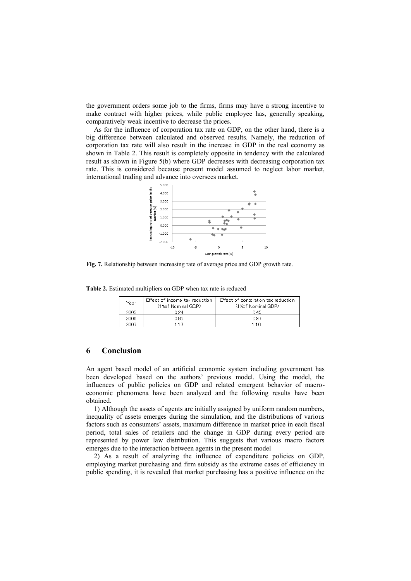the government orders some job to the firms, firms may have a strong incentive to make contract with higher prices, while public employee has, generally speaking, comparatively weak incentive to decrease the prices.

As for the influence of corporation tax rate on GDP, on the other hand, there is a big difference between calculated and observed results. Namely, the reduction of corporation tax rate will also result in the increase in GDP in the real economy as shown in Table 2. This result is completely opposite in tendency with the calculated result as shown in Figure 5(b) where GDP decreases with decreasing corporation tax rate. This is considered because present model assumed to neglect labor market, international trading and advance into oversees market.



**Fig. 7.** Relationship between increasing rate of average price and GDP growth rate.

**Table 2.** Estimated multipliers on GDP when tax rate is reduced

| Year | Effect of income tax reduction<br>(1%of Nominal GDP) | Effect of corporation tax reduction<br>(1%of Nominal GDP) |  |  |
|------|------------------------------------------------------|-----------------------------------------------------------|--|--|
| 2005 | 024                                                  | 045                                                       |  |  |
| 2006 | 0.85                                                 | 0.97                                                      |  |  |
| 2007 |                                                      |                                                           |  |  |

## **6 Conclusion**

An agent based model of an artificial economic system including government has been developed based on the authors' previous model. Using the model, the influences of public policies on GDP and related emergent behavior of macroeconomic phenomena have been analyzed and the following results have been obtained.

1) Although the assets of agents are initially assigned by uniform random numbers, inequality of assets emerges during the simulation, and the distributions of various factors such as consumers' assets, maximum difference in market price in each fiscal period, total sales of retailers and the change in GDP during every period are represented by power law distribution. This suggests that various macro factors emerges due to the interaction between agents in the present model

2) As a result of analyzing the influence of expenditure policies on GDP, employing market purchasing and firm subsidy as the extreme cases of efficiency in public spending, it is revealed that market purchasing has a positive influence on the